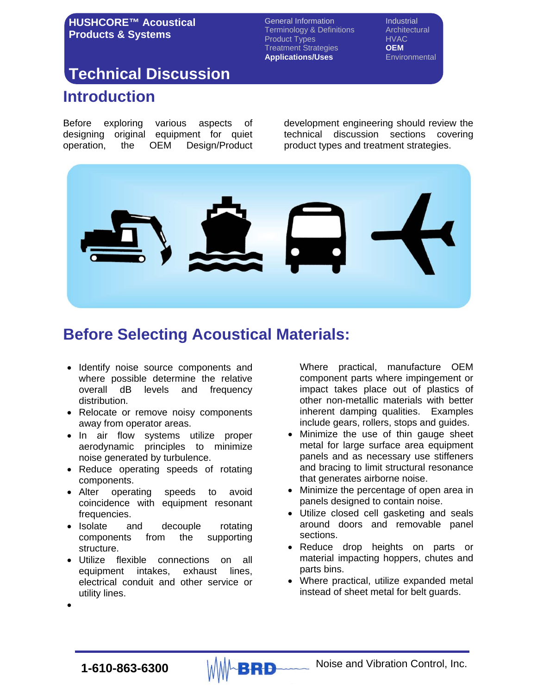General Information **Industrial** Terminology & Definitions **Architectural** Product Types<br>
Treatment Strategies **DEM Treatment Strategies Applications/Uses** Environmental

# **Introduction Technical Discussion**

Before exploring various aspects of designing original equipment for quiet operation, the OEM Design/Product development engineering should review the technical discussion sections covering product types and treatment strategies.



# **Before Selecting Acoustical Materials:**

- Identify noise source components and where possible determine the relative overall dB levels and frequency distribution.
- Relocate or remove noisy components away from operator areas.
- In air flow systems utilize proper aerodynamic principles to minimize noise generated by turbulence.
- Reduce operating speeds of rotating components.
- Alter operating speeds to avoid coincidence with equipment resonant frequencies.
- Isolate and decouple rotating components from the supporting structure.
- Utilize flexible connections on all equipment intakes, exhaust lines, electrical conduit and other service or utility lines.

Where practical, manufacture OEM component parts where impingement or impact takes place out of plastics of other non-metallic materials with better inherent damping qualities. Examples include gears, rollers, stops and guides.

- Minimize the use of thin gauge sheet metal for large surface area equipment panels and as necessary use stiffeners and bracing to limit structural resonance that generates airborne noise.
- Minimize the percentage of open area in panels designed to contain noise.
- Utilize closed cell gasketing and seals around doors and removable panel sections.
- Reduce drop heights on parts or material impacting hoppers, chutes and parts bins.
- Where practical, utilize expanded metal instead of sheet metal for belt guards.

•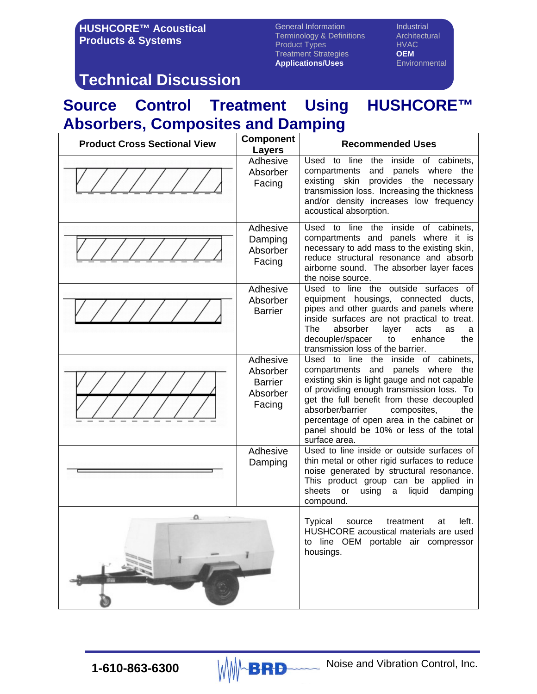General Information **Industrial** Terminology & Definitions Architectural<br>
Product Types Manusch HVAC Product Types<br>
Treatment Strategies **OEM Treatment Strategies CEM**<br> **Applications/Uses** Environmental **Applications/Uses** 

## **Technical Discussion**

# **Source Control Treatment Using HUSHCORE™ Absorbers, Composites and Damping**

| <b>Product Cross Sectional View</b> | <b>Component</b><br><b>Layers</b>                            | <b>Recommended Uses</b>                                                                                                                                                                                                                                                                                                                                                    |
|-------------------------------------|--------------------------------------------------------------|----------------------------------------------------------------------------------------------------------------------------------------------------------------------------------------------------------------------------------------------------------------------------------------------------------------------------------------------------------------------------|
|                                     | Adhesive<br>Absorber<br>Facing                               | Used to line<br>inside of cabinets,<br>the<br>compartments<br>and panels where the<br>provides the necessary<br>existing<br>skin<br>transmission loss. Increasing the thickness<br>and/or density increases low frequency<br>acoustical absorption.                                                                                                                        |
|                                     | Adhesive<br>Damping<br>Absorber<br>Facing                    | Used to line the<br>inside of cabinets,<br>compartments and panels where it is<br>necessary to add mass to the existing skin,<br>reduce structural resonance and absorb<br>airborne sound. The absorber layer faces<br>the noise source.                                                                                                                                   |
|                                     | Adhesive<br>Absorber<br><b>Barrier</b>                       | Used to line the outside surfaces of<br>equipment housings, connected ducts,<br>pipes and other guards and panels where<br>inside surfaces are not practical to treat.<br><b>The</b><br>absorber<br>layer<br>acts<br>as<br>a<br>decoupler/spacer<br>enhance<br>the<br>to<br>transmission loss of the barrier.                                                              |
|                                     | Adhesive<br>Absorber<br><b>Barrier</b><br>Absorber<br>Facing | Used to line the<br>inside of cabinets,<br>compartments and panels where the<br>existing skin is light gauge and not capable<br>of providing enough transmission loss. To<br>get the full benefit from these decoupled<br>absorber/barrier<br>composites,<br>the<br>percentage of open area in the cabinet or<br>panel should be 10% or less of the total<br>surface area. |
|                                     | Adhesive<br>Damping                                          | Used to line inside or outside surfaces of<br>thin metal or other rigid surfaces to reduce<br>noise generated by structural resonance.<br>This product group can be applied in<br>sheets<br>or<br>using<br>liquid<br>damping<br>a<br>compound.                                                                                                                             |
|                                     |                                                              | <b>Typical</b><br>left.<br>treatment<br>source<br>at<br>HUSHCORE acoustical materials are used<br>to line OEM portable air compressor<br>housings.                                                                                                                                                                                                                         |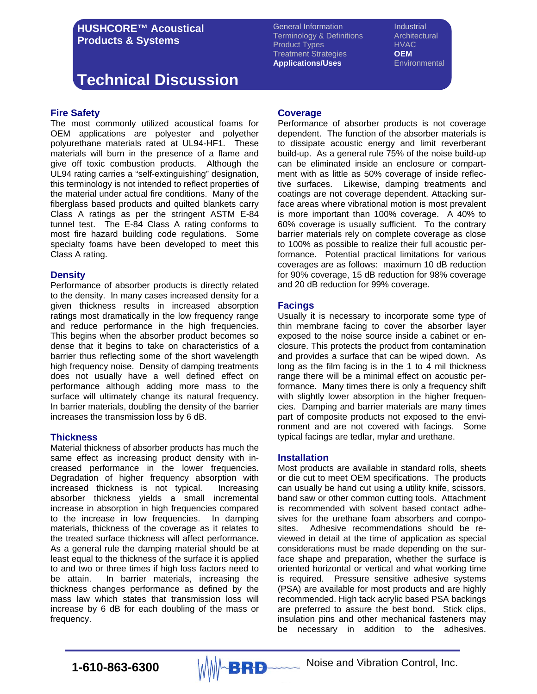# **Technical Discussion**

#### **Fire Safety**

The most commonly utilized acoustical foams for OEM applications are polyester and polyether polyurethane materials rated at UL94-HF1. These materials will burn in the presence of a flame and give off toxic combustion products. Although the UL94 rating carries a "self-extinguishing" designation, this terminology is not intended to reflect properties of the material under actual fire conditions. Many of the fiberglass based products and quilted blankets carry Class A ratings as per the stringent ASTM E-84 tunnel test. The E-84 Class A rating conforms to most fire hazard building code regulations. Some specialty foams have been developed to meet this Class A rating.

#### **Density**

Performance of absorber products is directly related to the density. In many cases increased density for a given thickness results in increased absorption ratings most dramatically in the low frequency range and reduce performance in the high frequencies. This begins when the absorber product becomes so dense that it begins to take on characteristics of a barrier thus reflecting some of the short wavelength high frequency noise. Density of damping treatments does not usually have a well defined effect on performance although adding more mass to the surface will ultimately change its natural frequency. In barrier materials, doubling the density of the barrier increases the transmission loss by 6 dB.

### **Thickness**

Material thickness of absorber products has much the same effect as increasing product density with increased performance in the lower frequencies. Degradation of higher frequency absorption with increased thickness is not typical. Increasing absorber thickness yields a small incremental increase in absorption in high frequencies compared to the increase in low frequencies. In damping materials, thickness of the coverage as it relates to the treated surface thickness will affect performance. As a general rule the damping material should be at least equal to the thickness of the surface it is applied to and two or three times if high loss factors need to be attain. In barrier materials, increasing the thickness changes performance as defined by the mass law which states that transmission loss will increase by 6 dB for each doubling of the mass or frequency.

General Information **Industrial** Terminology & Definitions Architectural Product Types<br>Treatment Strategies<br>Treatment Strategies **Treatment Strategies Applications/Uses** Environmental

#### **Coverage**

Performance of absorber products is not coverage dependent. The function of the absorber materials is to dissipate acoustic energy and limit reverberant build-up. As a general rule 75% of the noise build-up can be eliminated inside an enclosure or compartment with as little as 50% coverage of inside reflective surfaces. Likewise, damping treatments and coatings are not coverage dependent. Attacking surface areas where vibrational motion is most prevalent is more important than 100% coverage. A 40% to 60% coverage is usually sufficient. To the contrary barrier materials rely on complete coverage as close to 100% as possible to realize their full acoustic performance. Potential practical limitations for various coverages are as follows: maximum 10 dB reduction for 90% coverage, 15 dB reduction for 98% coverage and 20 dB reduction for 99% coverage.

#### **Facings**

Usually it is necessary to incorporate some type of thin membrane facing to cover the absorber layer exposed to the noise source inside a cabinet or enclosure. This protects the product from contamination and provides a surface that can be wiped down. As long as the film facing is in the 1 to 4 mil thickness range there will be a minimal effect on acoustic performance. Many times there is only a frequency shift with slightly lower absorption in the higher frequencies. Damping and barrier materials are many times part of composite products not exposed to the environment and are not covered with facings. Some typical facings are tedlar, mylar and urethane.

#### **Installation**

Most products are available in standard rolls, sheets or die cut to meet OEM specifications. The products can usually be hand cut using a utility knife, scissors, band saw or other common cutting tools. Attachment is recommended with solvent based contact adhesives for the urethane foam absorbers and composites. Adhesive recommendations should be reviewed in detail at the time of application as special considerations must be made depending on the surface shape and preparation, whether the surface is oriented horizontal or vertical and what working time is required. Pressure sensitive adhesive systems (PSA) are available for most products and are highly recommended. High tack acrylic based PSA backings are preferred to assure the best bond. Stick clips, insulation pins and other mechanical fasteners may be necessary in addition to the adhesives.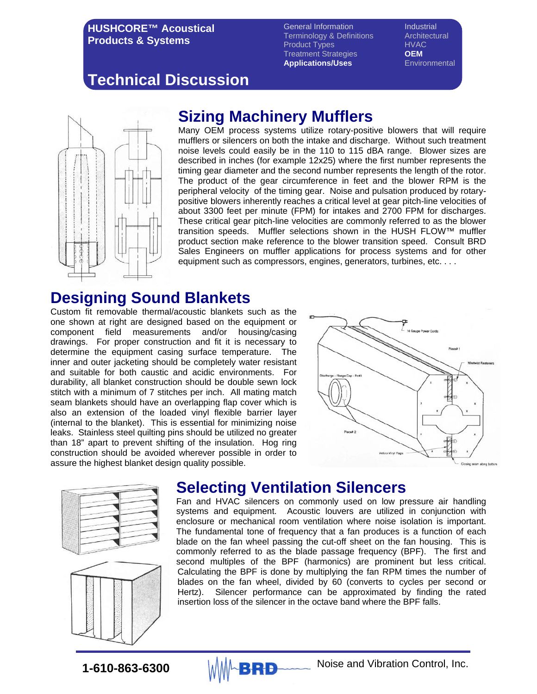General Information **Industrial** Terminology & Definitions Architectural Product Types<br>Treatment Strategies **CLOM Treatment Strategies <b>OEM**<br> **Applications/Uses** Environmental **Applications/Uses** 

# **Technical Discussion**



### **Sizing Machinery Mufflers**

Many OEM process systems utilize rotary-positive blowers that will require mufflers or silencers on both the intake and discharge. Without such treatment noise levels could easily be in the 110 to 115 dBA range. Blower sizes are described in inches (for example 12x25) where the first number represents the timing gear diameter and the second number represents the length of the rotor. The product of the gear circumference in feet and the blower RPM is the peripheral velocity of the timing gear. Noise and pulsation produced by rotarypositive blowers inherently reaches a critical level at gear pitch-line velocities of about 3300 feet per minute (FPM) for intakes and 2700 FPM for discharges. These critical gear pitch-line velocities are commonly referred to as the blower transition speeds. Muffler selections shown in the HUSH FLOW™ muffler product section make reference to the blower transition speed. Consult BRD Sales Engineers on muffler applications for process systems and for other equipment such as compressors, engines, generators, turbines, etc. . . .

### **Designing Sound Blankets**

Custom fit removable thermal/acoustic blankets such as the one shown at right are designed based on the equipment or component field measurements and/or housing/casing drawings. For proper construction and fit it is necessary to determine the equipment casing surface temperature. The inner and outer jacketing should be completely water resistant and suitable for both caustic and acidic environments. For durability, all blanket construction should be double sewn lock stitch with a minimum of 7 stitches per inch. All mating match seam blankets should have an overlapping flap cover which is also an extension of the loaded vinyl flexible barrier layer (internal to the blanket). This is essential for minimizing noise leaks. Stainless steel quilting pins should be utilized no greater than 18" apart to prevent shifting of the insulation. Hog ring construction should be avoided wherever possible in order to assure the highest blanket design quality possible.







### **Selecting Ventilation Silencers**

Fan and HVAC silencers on commonly used on low pressure air handling systems and equipment. Acoustic louvers are utilized in conjunction with enclosure or mechanical room ventilation where noise isolation is important. The fundamental tone of frequency that a fan produces is a function of each blade on the fan wheel passing the cut-off sheet on the fan housing. This is commonly referred to as the blade passage frequency (BPF). The first and second multiples of the BPF (harmonics) are prominent but less critical. Calculating the BPF is done by multiplying the fan RPM times the number of blades on the fan wheel, divided by 60 (converts to cycles per second or Hertz). Silencer performance can be approximated by finding the rated insertion loss of the silencer in the octave band where the BPF falls.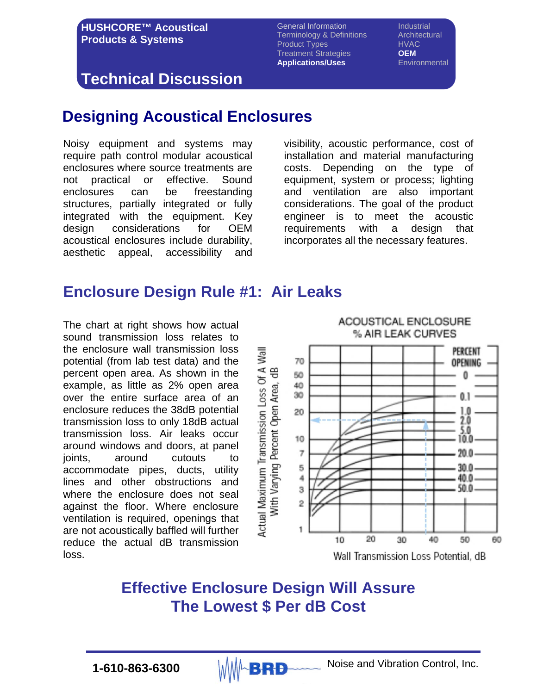General Information **Industrial** Terminology & Definitions Architectural<br>
Product Types Manusch HVAC Product Types<br>Treatment Strategies **DEM Treatment Strategies Applications/Uses** Environmental

### **Technical Discussion**

### **Designing Acoustical Enclosures**

Noisy equipment and systems may require path control modular acoustical enclosures where source treatments are not practical or effective. Sound enclosures can be freestanding structures, partially integrated or fully integrated with the equipment. Key design considerations for OEM acoustical enclosures include durability, aesthetic appeal, accessibility and

visibility, acoustic performance, cost of installation and material manufacturing costs. Depending on the type of equipment, system or process; lighting and ventilation are also important considerations. The goal of the product engineer is to meet the acoustic requirements with a design that incorporates all the necessary features.

### **Enclosure Design Rule #1: Air Leaks**

The chart at right shows how actual sound transmission loss relates to the enclosure wall transmission loss potential (from lab test data) and the percent open area. As shown in the example, as little as 2% open area over the entire surface area of an enclosure reduces the 38dB potential transmission loss to only 18dB actual transmission loss. Air leaks occur around windows and doors, at panel ioints. around cutouts to accommodate pipes, ducts, utility lines and other obstructions and where the enclosure does not seal against the floor. Where enclosure ventilation is required, openings that are not acoustically baffled will further reduce the actual dB transmission loss.



### **Effective Enclosure Design Will Assure The Lowest \$ Per dB Cost**